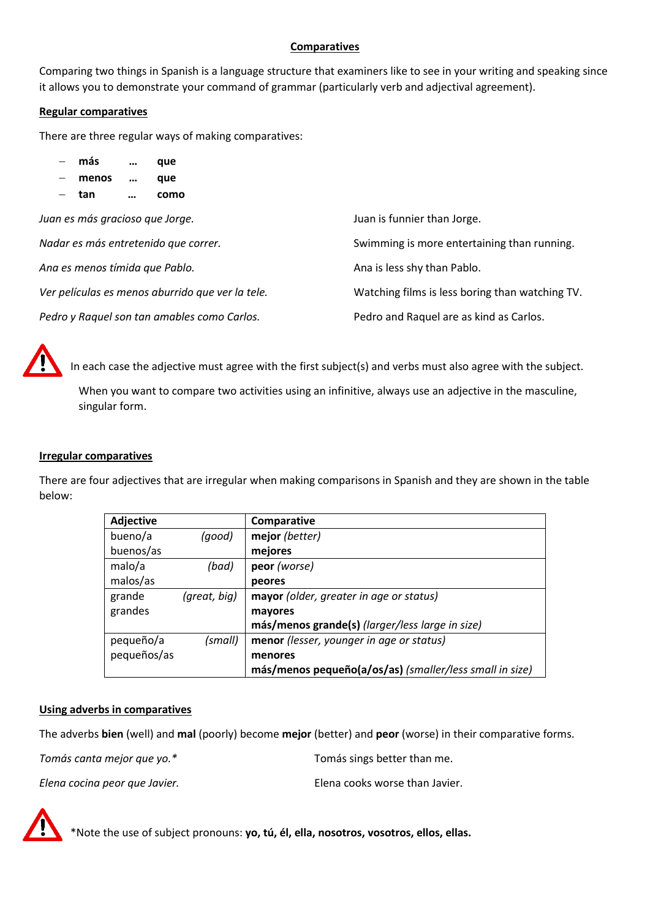# **Comparatives**

Comparing two things in Spanish is a language structure that examiners like to see in your writing and speaking since it allows you to demonstrate your command of grammar (particularly verb and adjectival agreement).

# **Regular comparatives**

There are three regular ways of making comparatives:

|                                      | $-$ más                         | $\cdots$  | que                                              |                                                 |
|--------------------------------------|---------------------------------|-----------|--------------------------------------------------|-------------------------------------------------|
|                                      | menos                           | $\cdots$  | que                                              |                                                 |
|                                      | tan                             | $\ddotsc$ | como                                             |                                                 |
|                                      | Juan es más gracioso que Jorge. |           |                                                  | Juan is funnier than Jorge.                     |
| Nadar es más entretenido que correr. |                                 |           |                                                  | Swimming is more entertaining than running.     |
|                                      |                                 |           | Ana es menos tímida que Pablo.                   | Ana is less shy than Pablo.                     |
|                                      |                                 |           | Ver películas es menos aburrido que ver la tele. | Watching films is less boring than watching TV. |
|                                      |                                 |           | Pedro y Raquel son tan amables como Carlos.      | Pedro and Raquel are as kind as Carlos.         |



In each case the adjective must agree with the first subject(s) and verbs must also agree with the subject.

When you want to compare two activities using an infinitive, always use an adjective in the masculine, singular form.

## **Irregular comparatives**

There are four adjectives that are irregular when making comparisons in Spanish and they are shown in the table below:

| <b>Adjective</b> |              | Comparative                                             |
|------------------|--------------|---------------------------------------------------------|
| bueno/a          | (good)       | mejor (better)                                          |
| buenos/as        |              | mejores                                                 |
| malo/a           | (bad)        | peor (worse)                                            |
| malos/as         |              | peores                                                  |
| grande           | (great, big) | mayor (older, greater in age or status)                 |
| grandes          |              | mayores                                                 |
|                  |              | más/menos grande(s) (larger/less large in size)         |
| pequeño/a        | (small)      | menor (lesser, younger in age or status)                |
| pequeños/as      |              | menores                                                 |
|                  |              | más/menos pequeño(a/os/as) (smaller/less small in size) |

## **Using adverbs in comparatives**

The adverbs **bien** (well) and **mal** (poorly) become **mejor** (better) and **peor** (worse) in their comparative forms.

*Tomás canta mejor que yo.\** Tomás sings better than me.

*Elena cocina peor que Javier.* Elena cooks worse than Javier.

\*Note the use of subject pronouns: **yo, tú, él, ella, nosotros, vosotros, ellos, ellas.**